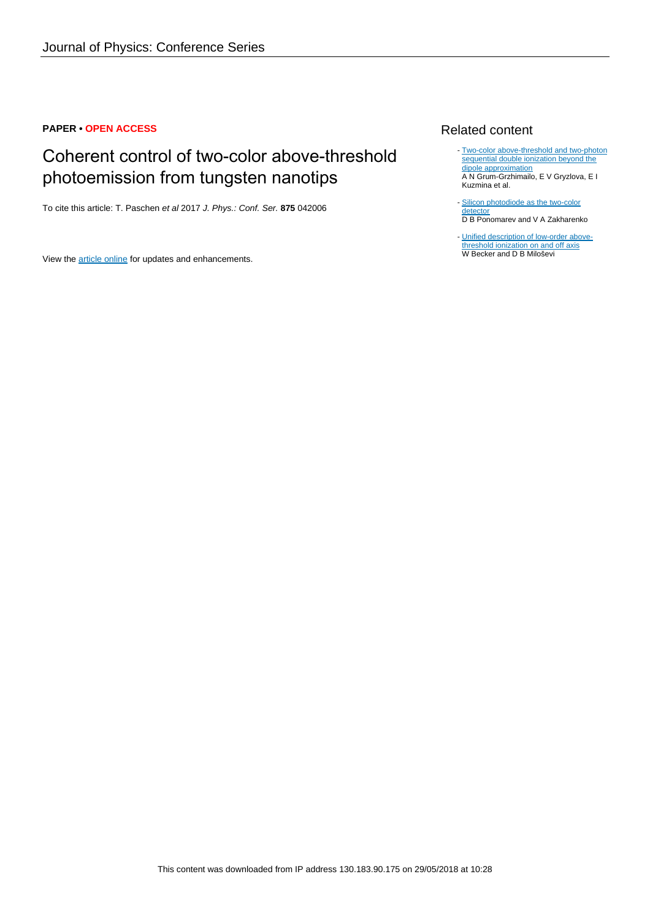## **PAPER • OPEN ACCESS**

# Coherent control of two-color above-threshold photoemission from tungsten nanotips

To cite this article: T. Paschen et al 2017 J. Phys.: Conf. Ser. **875** 042006

View the [article online](https://doi.org/10.1088/1742-6596/875/5/042006) for updates and enhancements.

# Related content

- [Two-color above-threshold and two-photon](http://iopscience.iop.org/article/10.1088/1742-6596/601/1/012012) [sequential double ionization beyond the](http://iopscience.iop.org/article/10.1088/1742-6596/601/1/012012) [dipole approximation](http://iopscience.iop.org/article/10.1088/1742-6596/601/1/012012) A N Grum-Grzhimailo, E V Gryzlova, E I Kuzmina et al.
- [Silicon photodiode as the two-color](http://iopscience.iop.org/article/10.1088/1742-6596/643/1/012030) **[detector](http://iopscience.iop.org/article/10.1088/1742-6596/643/1/012030)** D B Ponomarev and V A Zakharenko
- [Unified description of low-order above](http://iopscience.iop.org/article/10.1088/1742-6596/691/1/012002)[threshold ionization on and off axis](http://iopscience.iop.org/article/10.1088/1742-6596/691/1/012002) W Becker and D B Miloševi